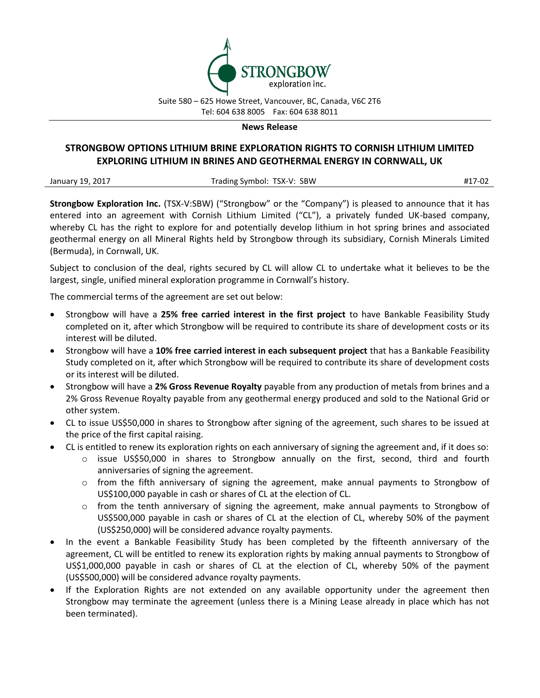

#### **News Release**

# **STRONGBOW OPTIONS LITHIUM BRINE EXPLORATION RIGHTS TO CORNISH LITHIUM LIMITED EXPLORING LITHIUM IN BRINES AND GEOTHERMAL ENERGY IN CORNWALL, UK**

January 19, 2017 **Trading Symbol: TSX-V: SBW** #17-02 **#17-02** #17-02

**Strongbow Exploration Inc.** (TSX-V:SBW) ("Strongbow" or the "Company") is pleased to announce that it has entered into an agreement with Cornish Lithium Limited ("CL"), a privately funded UK-based company, whereby CL has the right to explore for and potentially develop lithium in hot spring brines and associated geothermal energy on all Mineral Rights held by Strongbow through its subsidiary, Cornish Minerals Limited (Bermuda), in Cornwall, UK.

Subject to conclusion of the deal, rights secured by CL will allow CL to undertake what it believes to be the largest, single, unified mineral exploration programme in Cornwall's history.

The commercial terms of the agreement are set out below:

- Strongbow will have a **25% free carried interest in the first project** to have Bankable Feasibility Study completed on it, after which Strongbow will be required to contribute its share of development costs or its interest will be diluted.
- Strongbow will have a **10% free carried interest in each subsequent project** that has a Bankable Feasibility Study completed on it, after which Strongbow will be required to contribute its share of development costs or its interest will be diluted.
- Strongbow will have a **2% Gross Revenue Royalty** payable from any production of metals from brines and a 2% Gross Revenue Royalty payable from any geothermal energy produced and sold to the National Grid or other system.
- CL to issue US\$50,000 in shares to Strongbow after signing of the agreement, such shares to be issued at the price of the first capital raising.
- CL is entitled to renew its exploration rights on each anniversary of signing the agreement and, if it does so:
	- o issue US\$50,000 in shares to Strongbow annually on the first, second, third and fourth anniversaries of signing the agreement.
	- o from the fifth anniversary of signing the agreement, make annual payments to Strongbow of US\$100,000 payable in cash or shares of CL at the election of CL.
	- $\circ$  from the tenth anniversary of signing the agreement, make annual payments to Strongbow of US\$500,000 payable in cash or shares of CL at the election of CL, whereby 50% of the payment (US\$250,000) will be considered advance royalty payments.
- In the event a Bankable Feasibility Study has been completed by the fifteenth anniversary of the agreement, CL will be entitled to renew its exploration rights by making annual payments to Strongbow of US\$1,000,000 payable in cash or shares of CL at the election of CL, whereby 50% of the payment (US\$500,000) will be considered advance royalty payments.
- If the Exploration Rights are not extended on any available opportunity under the agreement then Strongbow may terminate the agreement (unless there is a Mining Lease already in place which has not been terminated).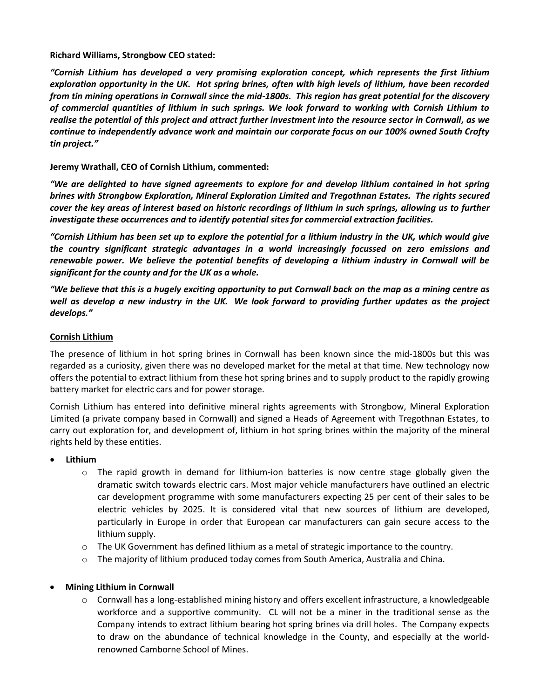#### **Richard Williams, Strongbow CEO stated:**

*"Cornish Lithium has developed a very promising exploration concept, which represents the first lithium exploration opportunity in the UK. Hot spring brines, often with high levels of lithium, have been recorded from tin mining operations in Cornwall since the mid-1800s. This region has great potential for the discovery of commercial quantities of lithium in such springs. We look forward to working with Cornish Lithium to realise the potential of this project and attract further investment into the resource sector in Cornwall, as we continue to independently advance work and maintain our corporate focus on our 100% owned South Crofty tin project."*

## **Jeremy Wrathall, CEO of Cornish Lithium, commented:**

*"We are delighted to have signed agreements to explore for and develop lithium contained in hot spring brines with Strongbow Exploration, Mineral Exploration Limited and Tregothnan Estates. The rights secured cover the key areas of interest based on historic recordings of lithium in such springs, allowing us to further investigate these occurrences and to identify potential sites for commercial extraction facilities.*

*"Cornish Lithium has been set up to explore the potential for a lithium industry in the UK, which would give the country significant strategic advantages in a world increasingly focussed on zero emissions and renewable power. We believe the potential benefits of developing a lithium industry in Cornwall will be significant for the county and for the UK as a whole.*

*"We believe that this is a hugely exciting opportunity to put Cornwall back on the map as a mining centre as well as develop a new industry in the UK. We look forward to providing further updates as the project develops."*

## **Cornish Lithium**

The presence of lithium in hot spring brines in Cornwall has been known since the mid-1800s but this was regarded as a curiosity, given there was no developed market for the metal at that time. New technology now offers the potential to extract lithium from these hot spring brines and to supply product to the rapidly growing battery market for electric cars and for power storage.

Cornish Lithium has entered into definitive mineral rights agreements with Strongbow, Mineral Exploration Limited (a private company based in Cornwall) and signed a Heads of Agreement with Tregothnan Estates, to carry out exploration for, and development of, lithium in hot spring brines within the majority of the mineral rights held by these entities.

- **Lithium**
	- $\circ$  The rapid growth in demand for lithium-ion batteries is now centre stage globally given the dramatic switch towards electric cars. Most major vehicle manufacturers have outlined an electric car development programme with some manufacturers expecting 25 per cent of their sales to be electric vehicles by 2025. It is considered vital that new sources of lithium are developed, particularly in Europe in order that European car manufacturers can gain secure access to the lithium supply.
	- o The UK Government has defined lithium as a metal of strategic importance to the country.
	- $\circ$  The majority of lithium produced today comes from South America, Australia and China.

## **Mining Lithium in Cornwall**

o Cornwall has a long-established mining history and offers excellent infrastructure, a knowledgeable workforce and a supportive community. CL will not be a miner in the traditional sense as the Company intends to extract lithium bearing hot spring brines via drill holes. The Company expects to draw on the abundance of technical knowledge in the County, and especially at the worldrenowned Camborne School of Mines.